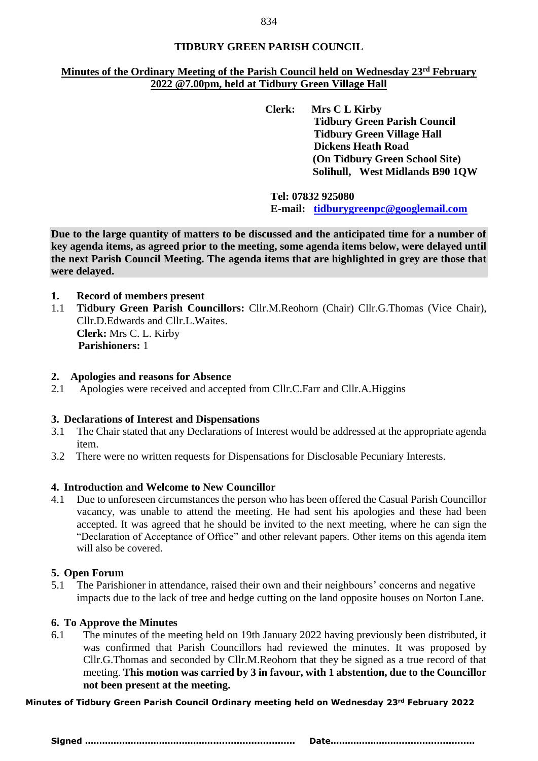## **TIDBURY GREEN PARISH COUNCIL**

## **Minutes of the Ordinary Meeting of the Parish Council held on Wednesday 23rd February 2022 @7.00pm, held at Tidbury Green Village Hall**

**Clerk: Mrs C L Kirby Tidbury Green Parish Council Tidbury Green Village Hall Dickens Heath Road (On Tidbury Green School Site) Solihull, West Midlands B90 1QW**

**Tel: 07832 925080 E-mail: [tidburygreenpc@googlemail.com](mailto:tidburygreenpc@googlemail.com)**

**Due to the large quantity of matters to be discussed and the anticipated time for a number of key agenda items, as agreed prior to the meeting, some agenda items below, were delayed until the next Parish Council Meeting. The agenda items that are highlighted in grey are those that were delayed.** 

- **1. Record of members present**
- 1.1 **Tidbury Green Parish Councillors:** Cllr.M.Reohorn (Chair) Cllr.G.Thomas (Vice Chair), Cllr.D.Edwards and Cllr.L.Waites. **Clerk:** Mrs C. L. Kirby  **Parishioners:** 1

#### **2. Apologies and reasons for Absence**

2.1 Apologies were received and accepted from Cllr.C.Farr and Cllr.A.Higgins

#### **3. Declarations of Interest and Dispensations**

- 3.1 The Chair stated that any Declarations of Interest would be addressed at the appropriate agenda item.
- 3.2 There were no written requests for Dispensations for Disclosable Pecuniary Interests.

#### **4. Introduction and Welcome to New Councillor**

4.1 Due to unforeseen circumstances the person who has been offered the Casual Parish Councillor vacancy, was unable to attend the meeting. He had sent his apologies and these had been accepted. It was agreed that he should be invited to the next meeting, where he can sign the "Declaration of Acceptance of Office" and other relevant papers. Other items on this agenda item will also be covered.

#### **5. Open Forum**

5.1 The Parishioner in attendance, raised their own and their neighbours' concerns and negative impacts due to the lack of tree and hedge cutting on the land opposite houses on Norton Lane.

#### **6. To Approve the Minutes**

6.1 The minutes of the meeting held on 19th January 2022 having previously been distributed, it was confirmed that Parish Councillors had reviewed the minutes. It was proposed by Cllr.G.Thomas and seconded by Cllr.M.Reohorn that they be signed as a true record of that meeting. **This motion was carried by 3 in favour, with 1 abstention, due to the Councillor not been present at the meeting.**

**Minutes of Tidbury Green Parish Council Ordinary meeting held on Wednesday 23rd February 2022**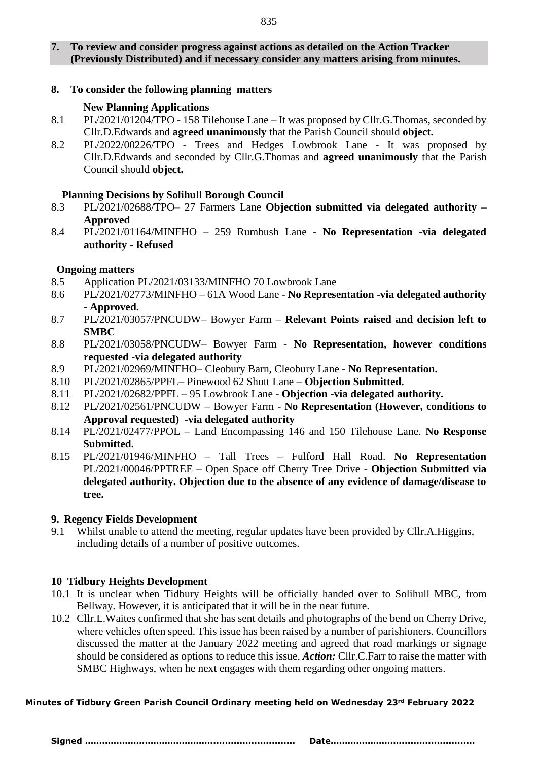# **7. To review and consider progress against actions as detailed on the Action Tracker (Previously Distributed) and if necessary consider any matters arising from minutes.**

# **8. To consider the following planning matters**

# **New Planning Applications**

- 8.1 PL/2021/01204/TPO 158 Tilehouse Lane It was proposed by Cllr.G.Thomas, seconded by Cllr.D.Edwards and **agreed unanimously** that the Parish Council should **object.**
- 8.2 PL/2022/00226/TPO Trees and Hedges Lowbrook Lane It was proposed by Cllr.D.Edwards and seconded by Cllr.G.Thomas and **agreed unanimously** that the Parish Council should **object.**

# **Planning Decisions by Solihull Borough Council**

- 8.3 PL/2021/02688/TPO– 27 Farmers Lane **Objection submitted via delegated authority – Approved**
- 8.4 PL/2021/01164/MINFHO 259 Rumbush Lane **No Representation -via delegated authority - Refused**

# **Ongoing matters**

- 8.5 Application PL/2021/03133/MINFHO 70 Lowbrook Lane
- 8.6 PL/2021/02773/MINFHO 61A Wood Lane **No Representation -via delegated authority - Approved.**
- 8.7 PL/2021/03057/PNCUDW– Bowyer Farm **Relevant Points raised and decision left to SMBC**
- 8.8 PL/2021/03058/PNCUDW– Bowyer Farm **No Representation, however conditions requested -via delegated authority**
- 8.9 PL/2021/02969/MINFHO– Cleobury Barn, Cleobury Lane **No Representation.**
- 8.10 PL/2021/02865/PPFL– Pinewood 62 Shutt Lane **Objection Submitted.**
- 8.11 PL/2021/02682/PPFL 95 Lowbrook Lane **Objection -via delegated authority.**
- 8.12 PL/2021/02561/PNCUDW Bowyer Farm **No Representation (However, conditions to Approval requested) -via delegated authority**
- 8.14 PL/2021/02477/PPOL Land Encompassing 146 and 150 Tilehouse Lane. **No Response Submitted.**
- 8.15 PL/2021/01946/MINFHO Tall Trees Fulford Hall Road. **No Representation**  PL/2021/00046/PPTREE – Open Space off Cherry Tree Drive - **Objection Submitted via delegated authority. Objection due to the absence of any evidence of damage/disease to tree.**

# **9. Regency Fields Development**

9.1 Whilst unable to attend the meeting, regular updates have been provided by Cllr.A.Higgins, including details of a number of positive outcomes.

# **10 Tidbury Heights Development**

- 10.1 It is unclear when Tidbury Heights will be officially handed over to Solihull MBC, from Bellway. However, it is anticipated that it will be in the near future.
- 10.2 Cllr.L.Waites confirmed that she has sent details and photographs of the bend on Cherry Drive, where vehicles often speed. This issue has been raised by a number of parishioners. Councillors discussed the matter at the January 2022 meeting and agreed that road markings or signage should be considered as options to reduce this issue. *Action:* Cllr.C.Farr to raise the matter with SMBC Highways, when he next engages with them regarding other ongoing matters.

# **Minutes of Tidbury Green Parish Council Ordinary meeting held on Wednesday 23rd February 2022**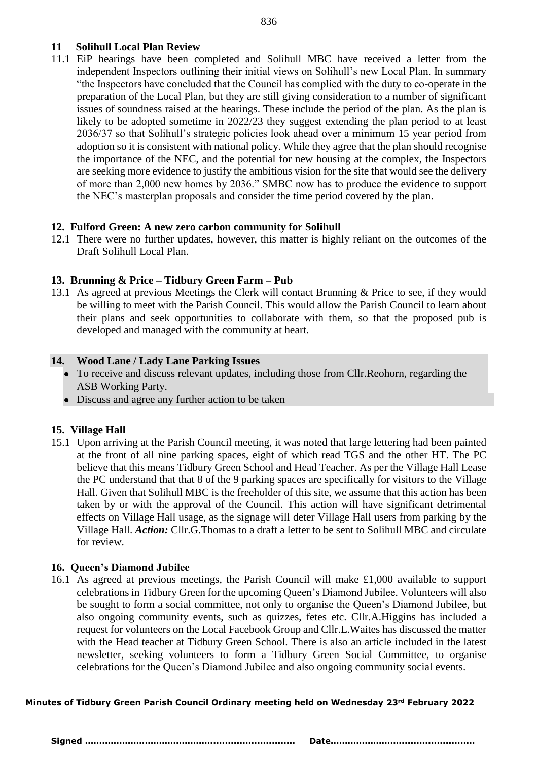#### 836

## **11 Solihull Local Plan Review**

11.1 EiP hearings have been completed and Solihull MBC have received a letter from the independent Inspectors outlining their initial views on Solihull's new Local Plan. In summary "the Inspectors have concluded that the Council has complied with the duty to co-operate in the preparation of the Local Plan, but they are still giving consideration to a number of significant issues of soundness raised at the hearings. These include the period of the plan. As the plan is likely to be adopted sometime in 2022/23 they suggest extending the plan period to at least 2036/37 so that Solihull's strategic policies look ahead over a minimum 15 year period from adoption so it is consistent with national policy. While they agree that the plan should recognise the importance of the NEC, and the potential for new housing at the complex, the Inspectors are seeking more evidence to justify the ambitious vision for the site that would see the delivery of more than 2,000 new homes by 2036." SMBC now has to produce the evidence to support the NEC's masterplan proposals and consider the time period covered by the plan.

## **12. Fulford Green: A new zero carbon community for Solihull**

12.1 There were no further updates, however, this matter is highly reliant on the outcomes of the Draft Solihull Local Plan.

## **13. Brunning & Price – Tidbury Green Farm – Pub**

13.1 As agreed at previous Meetings the Clerk will contact Brunning & Price to see, if they would be willing to meet with the Parish Council. This would allow the Parish Council to learn about their plans and seek opportunities to collaborate with them, so that the proposed pub is developed and managed with the community at heart.

## **14. Wood Lane / Lady Lane Parking Issues**

- To receive and discuss relevant updates, including those from Cllr.Reohorn, regarding the ASB Working Party.
- Discuss and agree any further action to be taken

## **15. Village Hall**

15.1 Upon arriving at the Parish Council meeting, it was noted that large lettering had been painted at the front of all nine parking spaces, eight of which read TGS and the other HT. The PC believe that this means Tidbury Green School and Head Teacher. As per the Village Hall Lease the PC understand that that 8 of the 9 parking spaces are specifically for visitors to the Village Hall. Given that Solihull MBC is the freeholder of this site, we assume that this action has been taken by or with the approval of the Council. This action will have significant detrimental effects on Village Hall usage, as the signage will deter Village Hall users from parking by the Village Hall. *Action:* Cllr.G.Thomas to a draft a letter to be sent to Solihull MBC and circulate for review.

## **16. Queen's Diamond Jubilee**

16.1 As agreed at previous meetings, the Parish Council will make £1,000 available to support celebrations in Tidbury Green for the upcoming Queen's Diamond Jubilee. Volunteers will also be sought to form a social committee, not only to organise the Queen's Diamond Jubilee, but also ongoing community events, such as quizzes, fetes etc. Cllr.A.Higgins has included a request for volunteers on the Local Facebook Group and Cllr.L.Waites has discussed the matter with the Head teacher at Tidbury Green School. There is also an article included in the latest newsletter, seeking volunteers to form a Tidbury Green Social Committee, to organise celebrations for the Queen's Diamond Jubilee and also ongoing community social events.

#### **Minutes of Tidbury Green Parish Council Ordinary meeting held on Wednesday 23rd February 2022**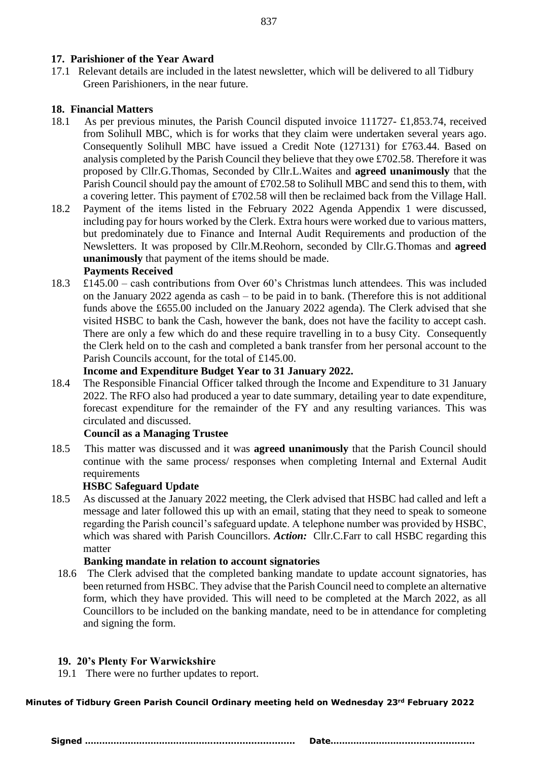## **17. Parishioner of the Year Award**

17.1 Relevant details are included in the latest newsletter, which will be delivered to all Tidbury Green Parishioners, in the near future.

## **18. Financial Matters**

- 18.1 As per previous minutes, the Parish Council disputed invoice 111727- £1,853.74, received from Solihull MBC, which is for works that they claim were undertaken several years ago. Consequently Solihull MBC have issued a Credit Note (127131) for £763.44. Based on analysis completed by the Parish Council they believe that they owe £702.58. Therefore it was proposed by Cllr.G.Thomas, Seconded by Cllr.L.Waites and **agreed unanimously** that the Parish Council should pay the amount of £702.58 to Solihull MBC and send this to them, with a covering letter. This payment of £702.58 will then be reclaimed back from the Village Hall.
- 18.2 Payment of the items listed in the February 2022 Agenda Appendix 1 were discussed, including pay for hours worked by the Clerk. Extra hours were worked due to various matters, but predominately due to Finance and Internal Audit Requirements and production of the Newsletters. It was proposed by Cllr.M.Reohorn, seconded by Cllr.G.Thomas and **agreed unanimously** that payment of the items should be made.

## **Payments Received**

18.3 £145.00 – cash contributions from Over 60's Christmas lunch attendees. This was included on the January 2022 agenda as cash – to be paid in to bank. (Therefore this is not additional funds above the £655.00 included on the January 2022 agenda). The Clerk advised that she visited HSBC to bank the Cash, however the bank, does not have the facility to accept cash. There are only a few which do and these require travelling in to a busy City. Consequently the Clerk held on to the cash and completed a bank transfer from her personal account to the Parish Councils account, for the total of £145.00.

## **Income and Expenditure Budget Year to 31 January 2022.**

18.4 The Responsible Financial Officer talked through the Income and Expenditure to 31 January 2022. The RFO also had produced a year to date summary, detailing year to date expenditure, forecast expenditure for the remainder of the FY and any resulting variances. This was circulated and discussed.

## **Council as a Managing Trustee**

18.5 This matter was discussed and it was **agreed unanimously** that the Parish Council should continue with the same process/ responses when completing Internal and External Audit requirements

## **HSBC Safeguard Update**

18.5 As discussed at the January 2022 meeting, the Clerk advised that HSBC had called and left a message and later followed this up with an email, stating that they need to speak to someone regarding the Parish council's safeguard update. A telephone number was provided by HSBC, which was shared with Parish Councillors. *Action:* Cllr.C.Farr to call HSBC regarding this matter

## **Banking mandate in relation to account signatories**

18.6 The Clerk advised that the completed banking mandate to update account signatories, has been returned from HSBC. They advise that the Parish Council need to complete an alternative form, which they have provided. This will need to be completed at the March 2022, as all Councillors to be included on the banking mandate, need to be in attendance for completing and signing the form.

# **19. 20's Plenty For Warwickshire**

19.1 There were no further updates to report.

#### **Minutes of Tidbury Green Parish Council Ordinary meeting held on Wednesday 23rd February 2022**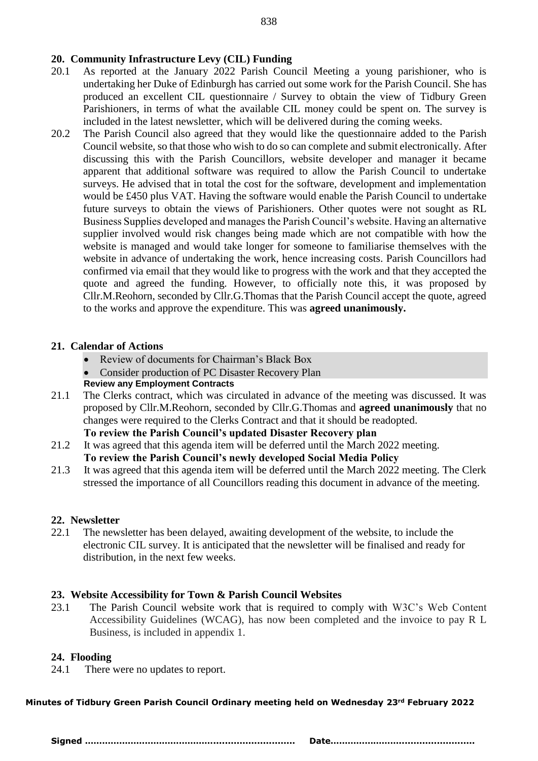# **20. Community Infrastructure Levy (CIL) Funding**

- 20.1 As reported at the January 2022 Parish Council Meeting a young parishioner, who is undertaking her Duke of Edinburgh has carried out some work for the Parish Council. She has produced an excellent CIL questionnaire / Survey to obtain the view of Tidbury Green Parishioners, in terms of what the available CIL money could be spent on. The survey is included in the latest newsletter, which will be delivered during the coming weeks.
- 20.2 The Parish Council also agreed that they would like the questionnaire added to the Parish Council website, so that those who wish to do so can complete and submit electronically. After discussing this with the Parish Councillors, website developer and manager it became apparent that additional software was required to allow the Parish Council to undertake surveys. He advised that in total the cost for the software, development and implementation would be £450 plus VAT. Having the software would enable the Parish Council to undertake future surveys to obtain the views of Parishioners. Other quotes were not sought as RL Business Supplies developed and manages the Parish Council's website. Having an alternative supplier involved would risk changes being made which are not compatible with how the website is managed and would take longer for someone to familiarise themselves with the website in advance of undertaking the work, hence increasing costs. Parish Councillors had confirmed via email that they would like to progress with the work and that they accepted the quote and agreed the funding. However, to officially note this, it was proposed by Cllr.M.Reohorn, seconded by Cllr.G.Thomas that the Parish Council accept the quote, agreed to the works and approve the expenditure. This was **agreed unanimously.**

## **21. Calendar of Actions**

- Review of documents for Chairman's Black Box
- Consider production of PC Disaster Recovery Plan
- **Review any Employment Contracts**
- 21.1 The Clerks contract, which was circulated in advance of the meeting was discussed. It was proposed by Cllr.M.Reohorn, seconded by Cllr.G.Thomas and **agreed unanimously** that no changes were required to the Clerks Contract and that it should be readopted.

**To review the Parish Council's updated Disaster Recovery plan** 

21.2It was agreed that this agenda item will be deferred until the March 2022 meeting.

## **To review the Parish Council's newly developed Social Media Policy**

21.3 It was agreed that this agenda item will be deferred until the March 2022 meeting. The Clerk stressed the importance of all Councillors reading this document in advance of the meeting.

## **22. Newsletter**

22.1 The newsletter has been delayed, awaiting development of the website, to include the electronic CIL survey. It is anticipated that the newsletter will be finalised and ready for distribution, in the next few weeks.

## **23. Website Accessibility for Town & Parish Council Websites**

23.1 The Parish Council website work that is required to comply with W3C's Web Content Accessibility Guidelines (WCAG), has now been completed and the invoice to pay R L Business, is included in appendix 1.

## **24. Flooding**

24.1 There were no updates to report.

## **Minutes of Tidbury Green Parish Council Ordinary meeting held on Wednesday 23rd February 2022**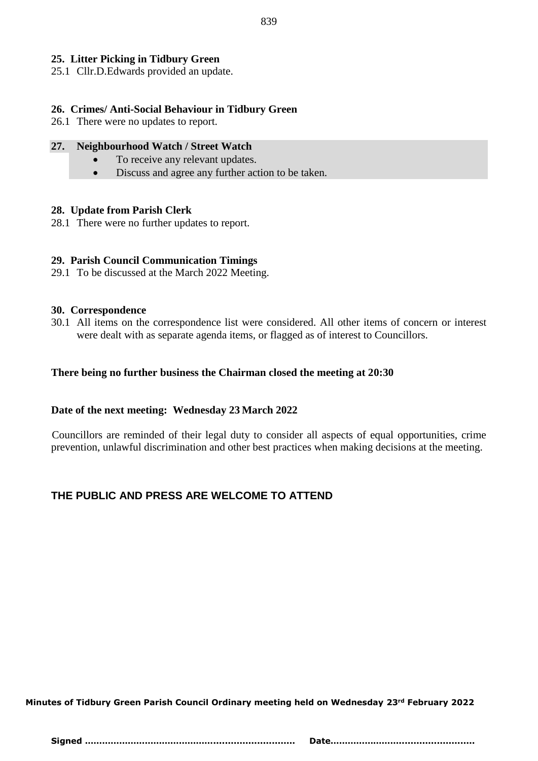## **25. Litter Picking in Tidbury Green**

25.1 Cllr.D.Edwards provided an update.

## **26. Crimes/ Anti-Social Behaviour in Tidbury Green**

26.1 There were no updates to report.

#### **27. Neighbourhood Watch / Street Watch**

- To receive any relevant updates.
- Discuss and agree any further action to be taken.

#### **28. Update from Parish Clerk**

28.1 There were no further updates to report.

## **29. Parish Council Communication Timings**

29.1 To be discussed at the March 2022 Meeting.

#### **30. Correspondence**

30.1 All items on the correspondence list were considered. All other items of concern or interest were dealt with as separate agenda items, or flagged as of interest to Councillors.

#### **There being no further business the Chairman closed the meeting at 20:30**

# **Date of the next meeting: Wednesday 23 March 2022**

 Councillors are reminded of their legal duty to consider all aspects of equal opportunities, crime prevention, unlawful discrimination and other best practices when making decisions at the meeting.

# **THE PUBLIC AND PRESS ARE WELCOME TO ATTEND**

**Minutes of Tidbury Green Parish Council Ordinary meeting held on Wednesday 23rd February 2022**